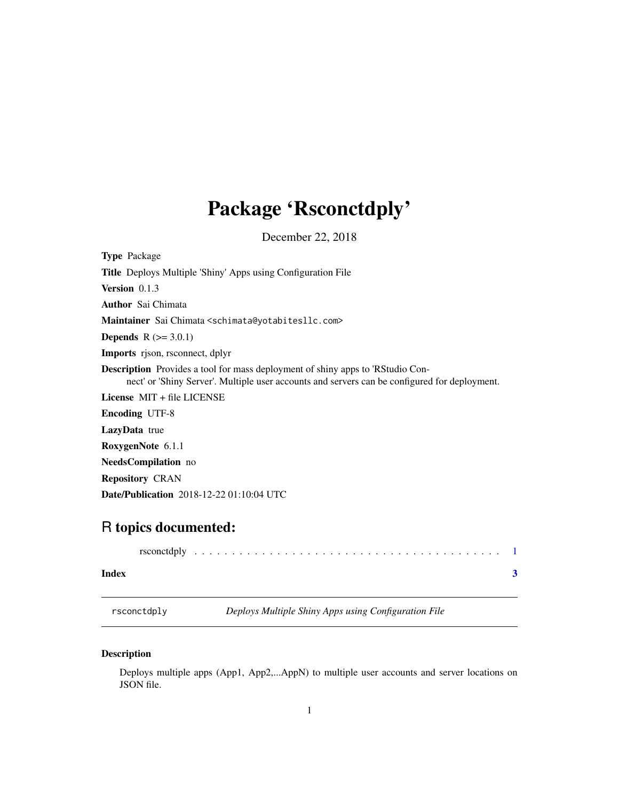## <span id="page-0-0"></span>Package 'Rsconctdply'

December 22, 2018

| <b>Type</b> Package                                                                                                                                                                    |
|----------------------------------------------------------------------------------------------------------------------------------------------------------------------------------------|
| <b>Title</b> Deploys Multiple 'Shiny' Apps using Configuration File                                                                                                                    |
| Version 0.1.3                                                                                                                                                                          |
| <b>Author</b> Sai Chimata                                                                                                                                                              |
| Maintainer Sai Chimata < schimata@yotabitesllc.com>                                                                                                                                    |
| <b>Depends</b> $R (= 3.0.1)$                                                                                                                                                           |
| <b>Imports</b> rison, rsconnect, dplyr                                                                                                                                                 |
| <b>Description</b> Provides a tool for mass deployment of shiny apps to 'RStudio Con-<br>nect' or 'Shiny Server'. Multiple user accounts and servers can be configured for deployment. |
| License $MIT + file LICENSE$                                                                                                                                                           |
| <b>Encoding UTF-8</b>                                                                                                                                                                  |
| <b>LazyData</b> true                                                                                                                                                                   |
| RoxygenNote 6.1.1                                                                                                                                                                      |
| <b>NeedsCompilation</b> no                                                                                                                                                             |
| <b>Repository CRAN</b>                                                                                                                                                                 |
| <b>Date/Publication</b> 2018-12-22 01:10:04 UTC                                                                                                                                        |

### R topics documented:

| Index |  |  |  |  |  |  |  |  |  |  |  |  |  |  |  |
|-------|--|--|--|--|--|--|--|--|--|--|--|--|--|--|--|

rsconctdply *Deploys Multiple Shiny Apps using Configuration File*

#### Description

Deploys multiple apps (App1, App2,...AppN) to multiple user accounts and server locations on JSON file.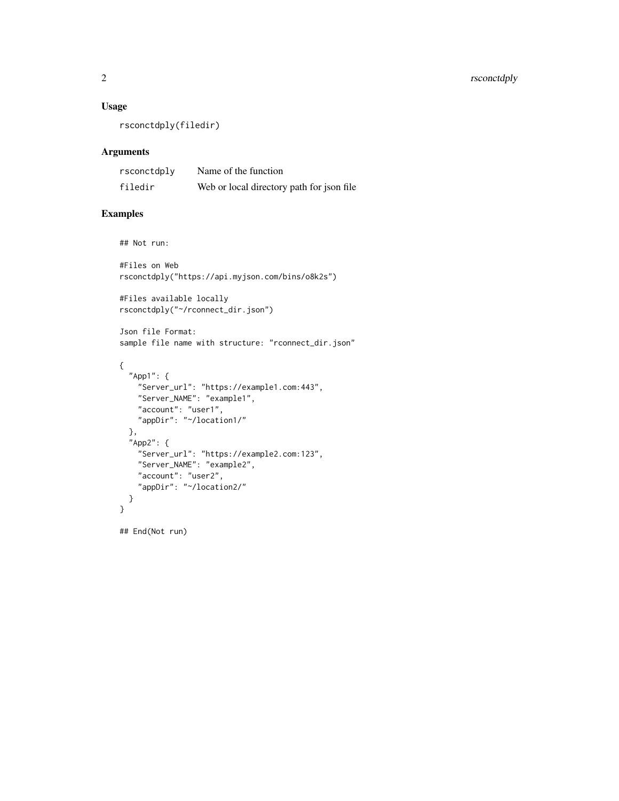#### Usage

rsconctdply(filedir)

#### Arguments

| rsconctdply | Name of the function                       |
|-------------|--------------------------------------------|
| filedir     | Web or local directory path for json file. |

#### Examples

## Not run:

```
#Files on Web
rsconctdply("https://api.myjson.com/bins/o8k2s")
```
#Files available locally rsconctdply("~/rconnect\_dir.json")

Json file Format: sample file name with structure: "rconnect\_dir.json"

```
{
  "App1": {
   "Server_url": "https://example1.com:443",
   "Server_NAME": "example1",
    "account": "user1",
    "appDir": "~/location1/"
  },
  "App2": {
   "Server_url": "https://example2.com:123",
    "Server_NAME": "example2",
    "account": "user2",
    "appDir": "~/location2/"
  }
}
```
## End(Not run)